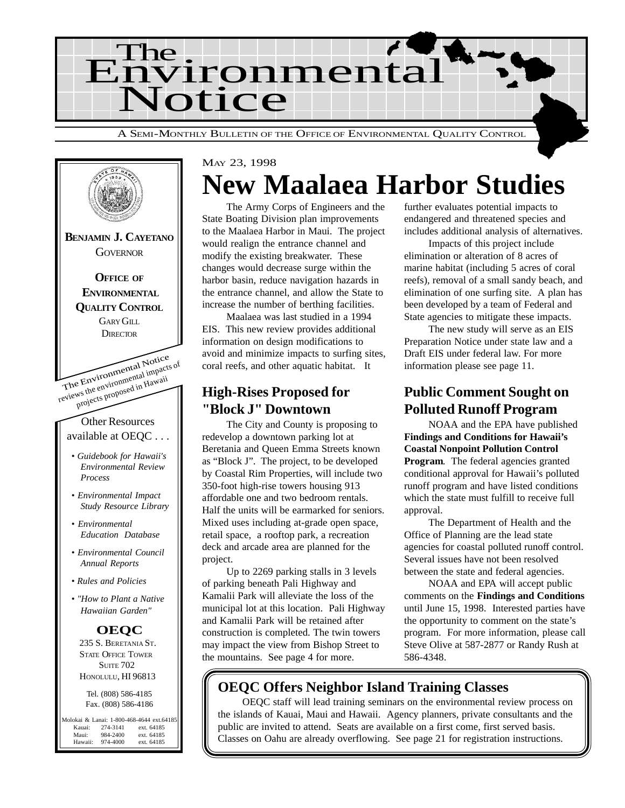

The Environmental Notice reviews the environmental impacts of projects proposed in Hawaii Other Resources available at OEQC . . . *• Guidebook for Hawaii's Environmental Review Process • Environmental Impact Study Resource Library • Environmental Education Database • Environmental Council Annual Reports • Rules and Policies • "How to Plant a Native Hawaiian Garden"* **BENJAMIN J. CAYETANO GOVERNOR OFFICE OF ENVIRONMENTAL QUALITY CONTROL** GARY GILL **DIRECTOR OEQC** 235 S. BERETANIA ST. STATE OFFICE TOWER **SUITE 702** HONOLULU, HI 96813 Tel. (808) 586-4185 Fax. (808) 586-4186 Molokai & Lanai: 1-800-468-4644 ext.64185<br>Kauai: 274-3141 ext. 64185 Kauai: 274-3141 ext. 64185<br>Maui: 984-2400 ext. 64185 Maui: 984-2400 ext. 64185<br>Hawaii: 974-4000 ext. 64185 ext. 64185

# MAY 23, 1998 **New Maalaea Harbor Studies**

The Army Corps of Engineers and the State Boating Division plan improvements to the Maalaea Harbor in Maui. The project would realign the entrance channel and modify the existing breakwater. These changes would decrease surge within the harbor basin, reduce navigation hazards in the entrance channel, and allow the State to increase the number of berthing facilities.

Maalaea was last studied in a 1994 EIS. This new review provides additional information on design modifications to avoid and minimize impacts to surfing sites, coral reefs, and other aquatic habitat. It

## **High-Rises Proposed for "Block J" Downtown**

The City and County is proposing to redevelop a downtown parking lot at Beretania and Queen Emma Streets known as "Block J". The project, to be developed by Coastal Rim Properties, will include two 350-foot high-rise towers housing 913 affordable one and two bedroom rentals. Half the units will be earmarked for seniors. Mixed uses including at-grade open space, retail space, a rooftop park, a recreation deck and arcade area are planned for the project.

Up to 2269 parking stalls in 3 levels of parking beneath Pali Highway and Kamalii Park will alleviate the loss of the municipal lot at this location. Pali Highway and Kamalii Park will be retained after construction is completed. The twin towers may impact the view from Bishop Street to the mountains. See page 4 for more.

further evaluates potential impacts to endangered and threatened species and includes additional analysis of alternatives.

Impacts of this project include elimination or alteration of 8 acres of marine habitat (including 5 acres of coral reefs), removal of a small sandy beach, and elimination of one surfing site. A plan has been developed by a team of Federal and State agencies to mitigate these impacts.

The new study will serve as an EIS Preparation Notice under state law and a Draft EIS under federal law. For more information please see page 11.

## **Public Comment Sought on Polluted Runoff Program**

NOAA and the EPA have published **Findings and Conditions for Hawaii's Coastal Nonpoint Pollution Control Program.** The federal agencies granted conditional approval for Hawaii's polluted runoff program and have listed conditions which the state must fulfill to receive full approval.

The Department of Health and the Office of Planning are the lead state agencies for coastal polluted runoff control. Several issues have not been resolved between the state and federal agencies.

NOAA and EPA will accept public comments on the **Findings and Conditions** until June 15, 1998. Interested parties have the opportunity to comment on the state's program. For more information, please call Steve Olive at 587-2877 or Randy Rush at 586-4348.

# **OEQC Offers Neighbor Island Training Classes**

OEQC staff will lead training seminars on the environmental review process on the islands of Kauai, Maui and Hawaii. Agency planners, private consultants and the public are invited to attend. Seats are available on a first come, first served basis. Classes on Oahu are already overflowing. See page 21 for registration instructions.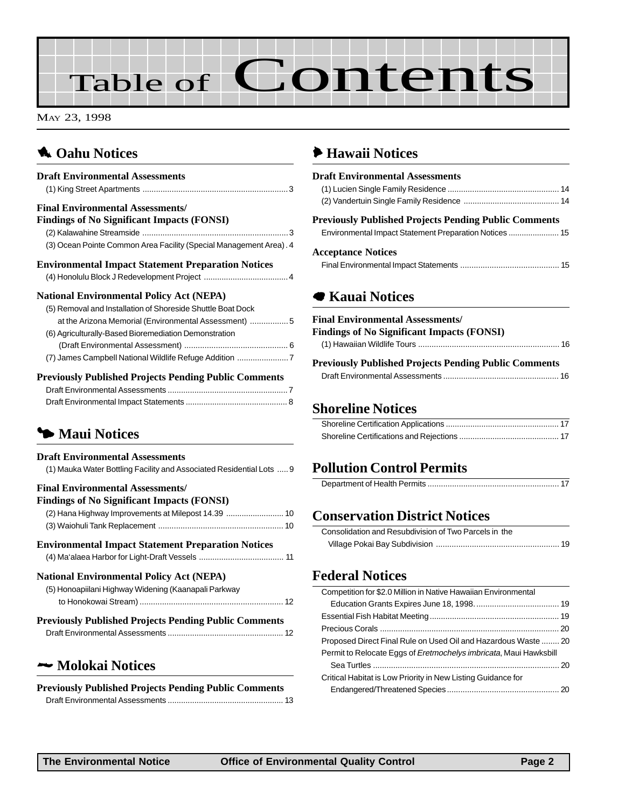# Table of Contents

MAY 23, 1998

# **1** [Oahu Notices](#page-2-0)

| <b>Draft Environmental Assessments</b>                             |
|--------------------------------------------------------------------|
|                                                                    |
| <b>Final Environmental Assessments/</b>                            |
| <b>Findings of No Significant Impacts (FONSI)</b>                  |
|                                                                    |
| (3) Ocean Pointe Common Area Facility (Special Management Area). 4 |
| <b>Environmental Impact Statement Preparation Notices</b>          |
|                                                                    |
| <b>National Environmental Policy Act (NEPA)</b>                    |
| (5) Removal and Installation of Shoreside Shuttle Boat Dock        |
| at the Arizona Memorial (Environmental Assessment) 5               |
| (6) Agriculturally-Based Bioremediation Demonstration              |
|                                                                    |
| (7) James Campbell National Wildlife Refuge Addition 7             |
| <b>Previously Published Projects Pending Public Comments</b>       |
|                                                                    |

[Draft Environmental Impact Statements .............................................. 8](#page-7-0)

# 3 **Maui Notices**

## **Draft Environmental Assessments** [\(1\) Mauka Water Bottling Facility and Associated Residential Lots .....9](#page-8-0) **Final Environmental Assessments/ Findings of No Significant Impacts (FONSI)** [\(2\) Hana Highway Improvements at Milepost 14.39 .......................... 10](#page-9-0) (3) Waiohuli Tank Replacement [........................................................ 10](#page-9-0) **Environmental Impact Statement Preparation Notices** [\(4\) Ma'alaea Harbor for Light-Draft Vessels ...................................... 11](#page-10-0) **National Environmental Policy Act (NEPA)** [\(5\) Honoapiilani Highway Widening \(Kaanapali Parkway](#page-11-0) to Honokowai Stream) ................................................................ 12 **Previously Published Projects Pending Public Comments** [Draft Environmental Assessments .................................................... 12](#page-11-0)

## 2 **Molokai Notices**

**Previously Published Projects Pending Public Comments** [Draft Environmental Assessments .................................................... 13](#page-12-0)

# 6 **Hawaii Notices**

| <b>Draft Environmental Assessments</b>                       |  |
|--------------------------------------------------------------|--|
|                                                              |  |
|                                                              |  |
| <b>Previously Published Projects Pending Public Comments</b> |  |
| <b>Acceptance Notices</b>                                    |  |
|                                                              |  |

# 7 **[Kauai Notices](#page-15-0)**

| <b>Final Environmental Assessments/</b>                      |  |
|--------------------------------------------------------------|--|
| <b>Findings of No Significant Impacts (FONSI)</b>            |  |
|                                                              |  |
| <b>Previously Published Projects Pending Public Comments</b> |  |

[Draft Environmental Assessments .................................................... 16](#page-15-0)

## **Shoreline Notices**

## **[Pollution Control Permits](#page-16-0)**

## **[Conservation District Notices](#page-18-0)**

| Consolidation and Resubdivision of Two Parcels in the |  |
|-------------------------------------------------------|--|
|                                                       |  |

### **Federal Notices**

| Competition for \$2.0 Million in Native Hawaiian Environmental    |  |
|-------------------------------------------------------------------|--|
|                                                                   |  |
|                                                                   |  |
|                                                                   |  |
| Proposed Direct Final Rule on Used Oil and Hazardous Waste  20    |  |
| Permit to Relocate Eggs of Eretmochelys imbricata, Maui Hawksbill |  |
|                                                                   |  |
| Critical Habitat is Low Priority in New Listing Guidance for      |  |
|                                                                   |  |
|                                                                   |  |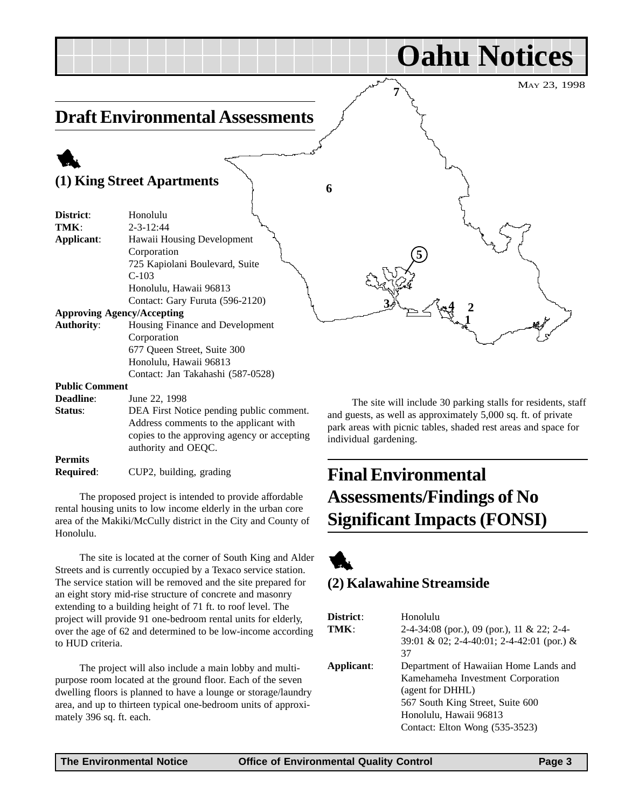#### <span id="page-2-0"></span>MAY 23, 1998 **Oahu Notices Draft Environmental Assessments** 1 **(1) King Street Apartments District**: Honolulu **TMK** $\cdot$  2-3-12:44 **Applicant**: Hawaii Housing Development Corporation 725 Kapiolani Boulevard, Suite C-103 Honolulu, Hawaii 96813 Contact: Gary Furuta (596-2120) **Approving Agency/Accepting Authority**: Housing Finance and Development Corporation 677 Queen Street, Suite 300 Honolulu, Hawaii 96813 Contact: Jan Takahashi (587-0528) **Public Comment Deadline**: June 22, 1998  $3/2$   $\leq$   $4$   $2$ **5 6 7 1**

**Status:** DEA First Notice pending public comment. Address comments to the applicant with copies to the approving agency or accepting authority and OEQC. **Permits**

**Required**: CUP2, building, grading

The proposed project is intended to provide affordable rental housing units to low income elderly in the urban core area of the Makiki/McCully district in the City and County of Honolulu.

The site is located at the corner of South King and Alder Streets and is currently occupied by a Texaco service station. The service station will be removed and the site prepared for an eight story mid-rise structure of concrete and masonry extending to a building height of 71 ft. to roof level. The project will provide 91 one-bedroom rental units for elderly, over the age of 62 and determined to be low-income according to HUD criteria.

The project will also include a main lobby and multipurpose room located at the ground floor. Each of the seven dwelling floors is planned to have a lounge or storage/laundry area, and up to thirteen typical one-bedroom units of approximately 396 sq. ft. each.

The site will include 30 parking stalls for residents, staff and guests, as well as approximately 5,000 sq. ft. of private park areas with picnic tables, shaded rest areas and space for individual gardening.

# **Final Environmental Assessments/Findings of No Significant Impacts (FONSI)**



## **(2) Kalawahine Streamside**

| District:<br>TMK: | Honolulu<br>2-4-34:08 (por.), 09 (por.), 11 & 22; 2-4-<br>39:01 & 02; 2-4-40:01; 2-4-42:01 (por.) &                                                                                                  |
|-------------------|------------------------------------------------------------------------------------------------------------------------------------------------------------------------------------------------------|
| Applicant:        | 37<br>Department of Hawaiian Home Lands and<br>Kamehameha Investment Corporation<br>(agent for DHHL)<br>567 South King Street, Suite 600<br>Honolulu, Hawaii 96813<br>Contact: Elton Wong (535-3523) |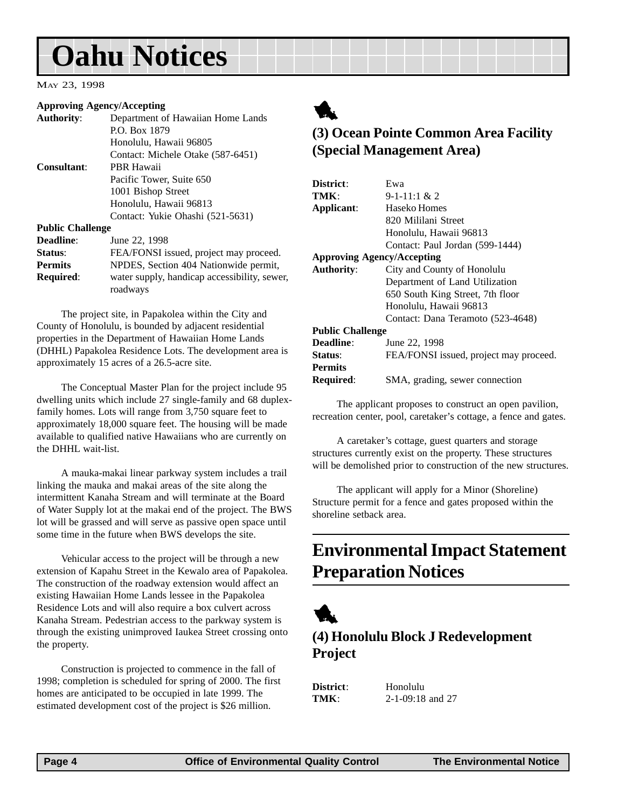# <span id="page-3-0"></span>**Oahu Notices**

#### MAY 23, 1998

#### **Approving Agency/Accepting**

|                         | 1                                                        |
|-------------------------|----------------------------------------------------------|
| <b>Authority:</b>       | Department of Hawaiian Home Lands                        |
|                         | P.O. Box 1879                                            |
|                         | Honolulu, Hawaii 96805                                   |
|                         | Contact: Michele Otake (587-6451)                        |
| Consultant:             | <b>PBR Hawaii</b>                                        |
|                         | Pacific Tower, Suite 650                                 |
|                         | 1001 Bishop Street                                       |
|                         | Honolulu, Hawaii 96813                                   |
|                         | Contact: Yukie Ohashi (521-5631)                         |
| <b>Public Challenge</b> |                                                          |
| Deadline:               | June 22, 1998                                            |
| Status:                 | FEA/FONSI issued, project may proceed.                   |
| <b>Permits</b>          | NPDES, Section 404 Nationwide permit,                    |
| <b>Required:</b>        | water supply, handicap accessibility, sewer,<br>roadways |

The project site, in Papakolea within the City and County of Honolulu, is bounded by adjacent residential properties in the Department of Hawaiian Home Lands (DHHL) Papakolea Residence Lots. The development area is approximately 15 acres of a 26.5-acre site.

The Conceptual Master Plan for the project include 95 dwelling units which include 27 single-family and 68 duplexfamily homes. Lots will range from 3,750 square feet to approximately 18,000 square feet. The housing will be made available to qualified native Hawaiians who are currently on the DHHL wait-list.

A mauka-makai linear parkway system includes a trail linking the mauka and makai areas of the site along the intermittent Kanaha Stream and will terminate at the Board of Water Supply lot at the makai end of the project. The BWS lot will be grassed and will serve as passive open space until some time in the future when BWS develops the site.

Vehicular access to the project will be through a new extension of Kapahu Street in the Kewalo area of Papakolea. The construction of the roadway extension would affect an existing Hawaiian Home Lands lessee in the Papakolea Residence Lots and will also require a box culvert across Kanaha Stream. Pedestrian access to the parkway system is through the existing unimproved Iaukea Street crossing onto the property.

Construction is projected to commence in the fall of 1998; completion is scheduled for spring of 2000. The first homes are anticipated to be occupied in late 1999. The estimated development cost of the project is \$26 million.



# **(3) Ocean Pointe Common Area Facility (Special Management Area)**

| District:                         | Ewa                                    |  |
|-----------------------------------|----------------------------------------|--|
| TMK:                              | $9 - 1 - 11$ : 1 & 2                   |  |
| Applicant:                        | Haseko Homes                           |  |
|                                   | 820 Mililani Street                    |  |
|                                   | Honolulu, Hawaii 96813                 |  |
|                                   | Contact: Paul Jordan (599-1444)        |  |
| <b>Approving Agency/Accepting</b> |                                        |  |
| <b>Authority:</b>                 | City and County of Honolulu            |  |
|                                   | Department of Land Utilization         |  |
|                                   | 650 South King Street, 7th floor       |  |
|                                   | Honolulu, Hawaii 96813                 |  |
|                                   | Contact: Dana Teramoto (523-4648)      |  |
| <b>Public Challenge</b>           |                                        |  |
| Deadline:                         | June 22, 1998                          |  |
| Status:                           | FEA/FONSI issued, project may proceed. |  |
| <b>Permits</b>                    |                                        |  |
| <b>Required:</b>                  | SMA, grading, sewer connection         |  |

The applicant proposes to construct an open pavilion, recreation center, pool, caretaker's cottage, a fence and gates.

A caretaker's cottage, guest quarters and storage structures currently exist on the property. These structures will be demolished prior to construction of the new structures.

The applicant will apply for a Minor (Shoreline) Structure permit for a fence and gates proposed within the shoreline setback area.

# **Environmental Impact Statement Preparation Notices**



## **(4) Honolulu Block J Redevelopment Project**

**District**: Honolulu **TMK**: 2-1-09:18 and 27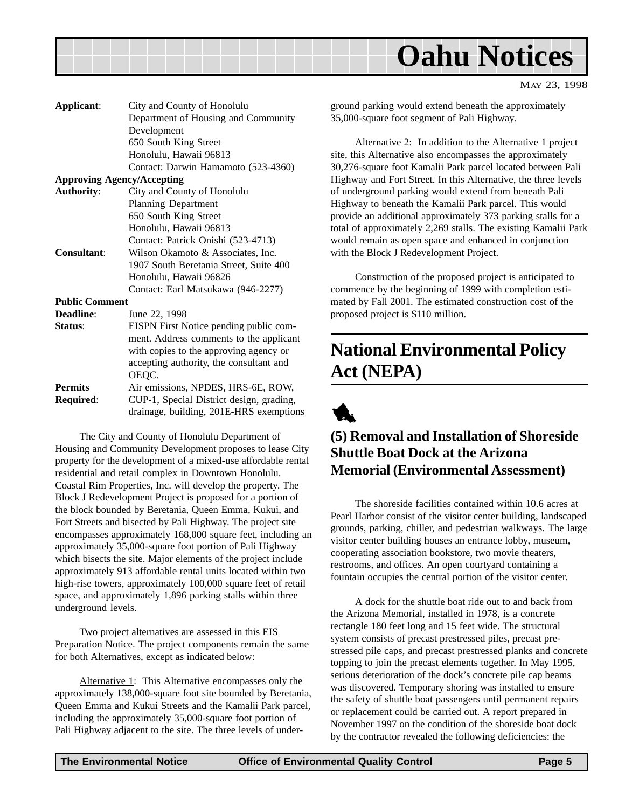<span id="page-4-0"></span>

| Applicant:            | City and County of Honolulu              |
|-----------------------|------------------------------------------|
|                       | Department of Housing and Community      |
|                       | Development                              |
|                       | 650 South King Street                    |
|                       | Honolulu, Hawaii 96813                   |
|                       | Contact: Darwin Hamamoto (523-4360)      |
|                       | <b>Approving Agency/Accepting</b>        |
|                       |                                          |
| <b>Authority:</b>     | City and County of Honolulu              |
|                       | <b>Planning Department</b>               |
|                       | 650 South King Street                    |
|                       | Honolulu, Hawaii 96813                   |
|                       | Contact: Patrick Onishi (523-4713)       |
| <b>Consultant:</b>    | Wilson Okamoto & Associates, Inc.        |
|                       | 1907 South Beretania Street, Suite 400   |
|                       | Honolulu, Hawaii 96826                   |
|                       | Contact: Earl Matsukawa (946-2277)       |
| <b>Public Comment</b> |                                          |
| <b>Deadline:</b>      | June 22, 1998                            |
| <b>Status:</b>        | EISPN First Notice pending public com-   |
|                       | ment. Address comments to the applicant  |
|                       | with copies to the approving agency or   |
|                       |                                          |
|                       | accepting authority, the consultant and  |
|                       | OEQC.                                    |
| Permits               | Air emissions, NPDES, HRS-6E, ROW,       |
| Required:             | CUP-1, Special District design, grading, |
|                       | drainage, building, 201E-HRS exemptions  |

The City and County of Honolulu Department of Housing and Community Development proposes to lease City property for the development of a mixed-use affordable rental residential and retail complex in Downtown Honolulu. Coastal Rim Properties, Inc. will develop the property. The Block J Redevelopment Project is proposed for a portion of the block bounded by Beretania, Queen Emma, Kukui, and Fort Streets and bisected by Pali Highway. The project site encompasses approximately 168,000 square feet, including an approximately 35,000-square foot portion of Pali Highway which bisects the site. Major elements of the project include approximately 913 affordable rental units located within two high-rise towers, approximately 100,000 square feet of retail space, and approximately 1,896 parking stalls within three underground levels.

Two project alternatives are assessed in this EIS Preparation Notice. The project components remain the same for both Alternatives, except as indicated below:

Alternative 1: This Alternative encompasses only the approximately 138,000-square foot site bounded by Beretania, Queen Emma and Kukui Streets and the Kamalii Park parcel, including the approximately 35,000-square foot portion of Pali Highway adjacent to the site. The three levels of underground parking would extend beneath the approximately 35,000-square foot segment of Pali Highway.

MAY 23, 1998

Alternative 2: In addition to the Alternative 1 project site, this Alternative also encompasses the approximately 30,276-square foot Kamalii Park parcel located between Pali Highway and Fort Street. In this Alternative, the three levels of underground parking would extend from beneath Pali Highway to beneath the Kamalii Park parcel. This would provide an additional approximately 373 parking stalls for a total of approximately 2,269 stalls. The existing Kamalii Park would remain as open space and enhanced in conjunction with the Block J Redevelopment Project.

Construction of the proposed project is anticipated to commence by the beginning of 1999 with completion estimated by Fall 2001. The estimated construction cost of the proposed project is \$110 million.

# **National Environmental Policy Act (NEPA)**



# **(5) Removal and Installation of Shoreside Shuttle Boat Dock at the Arizona Memorial (Environmental Assessment)**

The shoreside facilities contained within 10.6 acres at Pearl Harbor consist of the visitor center building, landscaped grounds, parking, chiller, and pedestrian walkways. The large visitor center building houses an entrance lobby, museum, cooperating association bookstore, two movie theaters, restrooms, and offices. An open courtyard containing a fountain occupies the central portion of the visitor center.

A dock for the shuttle boat ride out to and back from the Arizona Memorial, installed in 1978, is a concrete rectangle 180 feet long and 15 feet wide. The structural system consists of precast prestressed piles, precast prestressed pile caps, and precast prestressed planks and concrete topping to join the precast elements together. In May 1995, serious deterioration of the dock's concrete pile cap beams was discovered. Temporary shoring was installed to ensure the safety of shuttle boat passengers until permanent repairs or replacement could be carried out. A report prepared in November 1997 on the condition of the shoreside boat dock by the contractor revealed the following deficiencies: the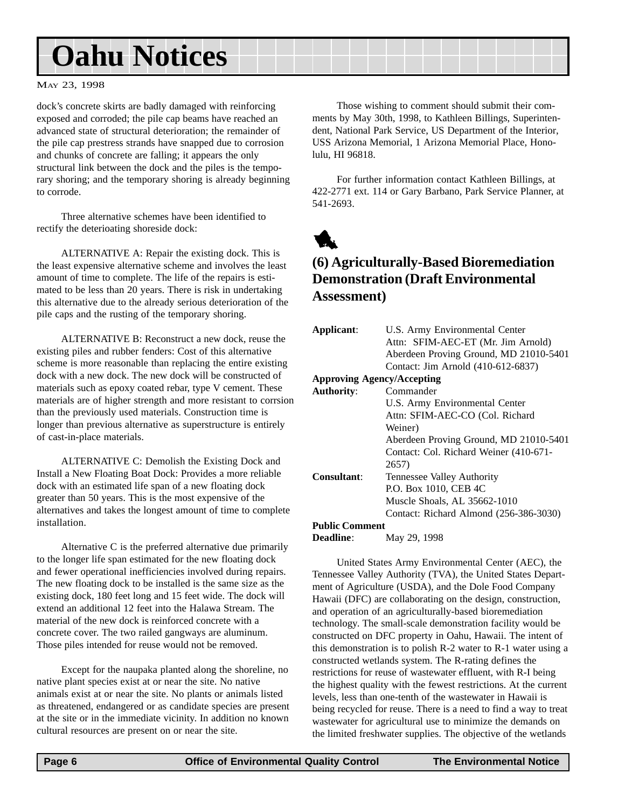# <span id="page-5-0"></span>**Oahu Notices**

#### MAY 23, 1998

dock's concrete skirts are badly damaged with reinforcing exposed and corroded; the pile cap beams have reached an advanced state of structural deterioration; the remainder of the pile cap prestress strands have snapped due to corrosion and chunks of concrete are falling; it appears the only structural link between the dock and the piles is the temporary shoring; and the temporary shoring is already beginning to corrode.

Three alternative schemes have been identified to rectify the deterioating shoreside dock:

ALTERNATIVE A: Repair the existing dock. This is the least expensive alternative scheme and involves the least amount of time to complete. The life of the repairs is estimated to be less than 20 years. There is risk in undertaking this alternative due to the already serious deterioration of the pile caps and the rusting of the temporary shoring.

ALTERNATIVE B: Reconstruct a new dock, reuse the existing piles and rubber fenders: Cost of this alternative scheme is more reasonable than replacing the entire existing dock with a new dock. The new dock will be constructed of materials such as epoxy coated rebar, type V cement. These materials are of higher strength and more resistant to corrsion than the previously used materials. Construction time is longer than previous alternative as superstructure is entirely of cast-in-place materials.

ALTERNATIVE C: Demolish the Existing Dock and Install a New Floating Boat Dock: Provides a more reliable dock with an estimated life span of a new floating dock greater than 50 years. This is the most expensive of the alternatives and takes the longest amount of time to complete installation.

Alternative C is the preferred alternative due primarily to the longer life span estimated for the new floating dock and fewer operational inefficiencies involved during repairs. The new floating dock to be installed is the same size as the existing dock, 180 feet long and 15 feet wide. The dock will extend an additional 12 feet into the Halawa Stream. The material of the new dock is reinforced concrete with a concrete cover. The two railed gangways are aluminum. Those piles intended for reuse would not be removed.

Except for the naupaka planted along the shoreline, no native plant species exist at or near the site. No native animals exist at or near the site. No plants or animals listed as threatened, endangered or as candidate species are present at the site or in the immediate vicinity. In addition no known cultural resources are present on or near the site.

Those wishing to comment should submit their comments by May 30th, 1998, to Kathleen Billings, Superintendent, National Park Service, US Department of the Interior, USS Arizona Memorial, 1 Arizona Memorial Place, Honolulu, HI 96818.

For further information contact Kathleen Billings, at 422-2771 ext. 114 or Gary Barbano, Park Service Planner, at 541-2693.



### **(6) Agriculturally-Based Bioremediation Demonstration (Draft Environmental Assessment)**

| Applicant:                        | U.S. Army Environmental Center<br>Attn: SFIM-AEC-ET (Mr. Jim Arnold)<br>Aberdeen Proving Ground, MD 21010-5401 |
|-----------------------------------|----------------------------------------------------------------------------------------------------------------|
|                                   | Contact: Jim Arnold (410-612-6837)                                                                             |
| <b>Approving Agency/Accepting</b> |                                                                                                                |
| <b>Authority:</b>                 | Commander                                                                                                      |
|                                   | U.S. Army Environmental Center                                                                                 |
|                                   | Attn: SFIM-AEC-CO (Col. Richard                                                                                |
|                                   | Weiner)                                                                                                        |
|                                   | Aberdeen Proving Ground, MD 21010-5401                                                                         |
|                                   | Contact: Col. Richard Weiner (410-671-                                                                         |
|                                   | 2657)                                                                                                          |
| Consultant:                       | Tennessee Valley Authority                                                                                     |
|                                   | P.O. Box 1010, CEB 4C                                                                                          |
|                                   | Muscle Shoals, AL 35662-1010                                                                                   |
|                                   | Contact: Richard Almond (256-386-3030)                                                                         |
| <b>Public Comment</b>             |                                                                                                                |

**Deadline**: May 29, 1998

United States Army Environmental Center (AEC), the Tennessee Valley Authority (TVA), the United States Department of Agriculture (USDA), and the Dole Food Company Hawaii (DFC) are collaborating on the design, construction, and operation of an agriculturally-based bioremediation technology. The small-scale demonstration facility would be constructed on DFC property in Oahu, Hawaii. The intent of this demonstration is to polish R-2 water to R-1 water using a constructed wetlands system. The R-rating defines the restrictions for reuse of wastewater effluent, with R-I being the highest quality with the fewest restrictions. At the current levels, less than one-tenth of the wastewater in Hawaii is being recycled for reuse. There is a need to find a way to treat wastewater for agricultural use to minimize the demands on the limited freshwater supplies. The objective of the wetlands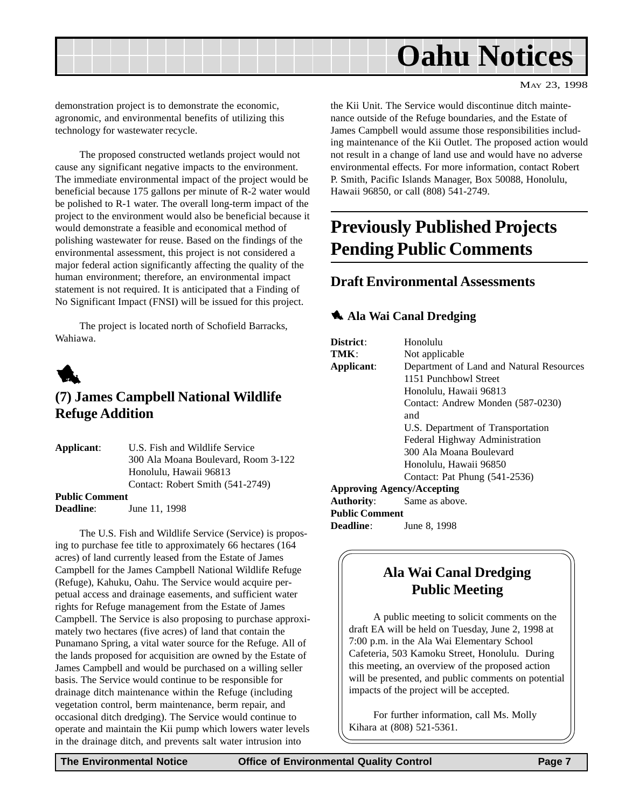<span id="page-6-0"></span>

demonstration project is to demonstrate the economic, agronomic, and environmental benefits of utilizing this technology for wastewater recycle.

The proposed constructed wetlands project would not cause any significant negative impacts to the environment. The immediate environmental impact of the project would be beneficial because 175 gallons per minute of R-2 water would be polished to R-1 water. The overall long-term impact of the project to the environment would also be beneficial because it would demonstrate a feasible and economical method of polishing wastewater for reuse. Based on the findings of the environmental assessment, this project is not considered a major federal action significantly affecting the quality of the human environment; therefore, an environmental impact statement is not required. It is anticipated that a Finding of No Significant Impact (FNSI) will be issued for this project.

The project is located north of Schofield Barracks, Wahiawa.



# **(7) James Campbell National Wildlife Refuge Addition**

**Applicant**: U.S. Fish and Wildlife Service 300 Ala Moana Boulevard, Room 3-122 Honolulu, Hawaii 96813 Contact: Robert Smith (541-2749) **Public Comment**

**Deadline:** June 11, 1998

The U.S. Fish and Wildlife Service (Service) is proposing to purchase fee title to approximately 66 hectares (164 acres) of land currently leased from the Estate of James Campbell for the James Campbell National Wildlife Refuge (Refuge), Kahuku, Oahu. The Service would acquire perpetual access and drainage easements, and sufficient water rights for Refuge management from the Estate of James Campbell. The Service is also proposing to purchase approximately two hectares (five acres) of land that contain the Punamano Spring, a vital water source for the Refuge. All of the lands proposed for acquisition are owned by the Estate of James Campbell and would be purchased on a willing seller basis. The Service would continue to be responsible for drainage ditch maintenance within the Refuge (including vegetation control, berm maintenance, berm repair, and occasional ditch dredging). The Service would continue to operate and maintain the Kii pump which lowers water levels in the drainage ditch, and prevents salt water intrusion into

the Kii Unit. The Service would discontinue ditch maintenance outside of the Refuge boundaries, and the Estate of James Campbell would assume those responsibilities including maintenance of the Kii Outlet. The proposed action would not result in a change of land use and would have no adverse environmental effects. For more information, contact Robert P. Smith, Pacific Islands Manager, Box 50088, Honolulu, Hawaii 96850, or call (808) 541-2749.

# **Previously Published Projects Pending Public Comments**

### **Draft Environmental Assessments**

#### **1** Ala Wai Canal Dredging

| District:                         | Honolulu                                 |
|-----------------------------------|------------------------------------------|
| TMK:                              | Not applicable                           |
| Applicant:                        | Department of Land and Natural Resources |
|                                   | 1151 Punchbowl Street                    |
|                                   | Honolulu, Hawaii 96813                   |
|                                   | Contact: Andrew Monden (587-0230)        |
|                                   | and                                      |
|                                   | U.S. Department of Transportation        |
|                                   | Federal Highway Administration           |
|                                   | 300 Ala Moana Boulevard                  |
|                                   | Honolulu, Hawaii 96850                   |
|                                   | Contact: Pat Phung (541-2536)            |
| <b>Approving Agency/Accepting</b> |                                          |
| <b>Authority:</b>                 | Same as above.                           |
| <b>Public Comment</b>             |                                          |
| <b>Deadline:</b>                  | June 8, 1998                             |
|                                   |                                          |

# **Ala Wai Canal Dredging Public Meeting**

A public meeting to solicit comments on the draft EA will be held on Tuesday, June 2, 1998 at 7:00 p.m. in the Ala Wai Elementary School Cafeteria, 503 Kamoku Street, Honolulu. During this meeting, an overview of the proposed action will be presented, and public comments on potential impacts of the project will be accepted.

For further information, call Ms. Molly Kihara at (808) 521-5361.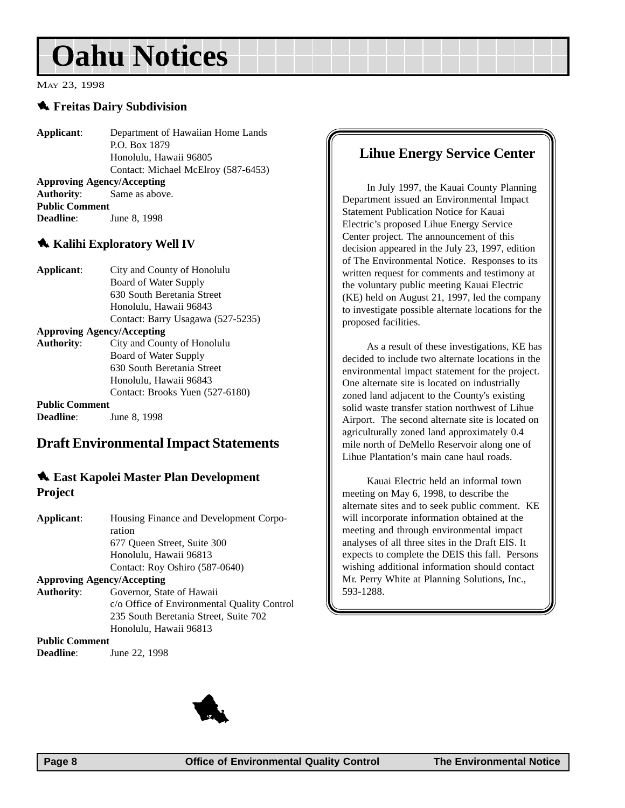# <span id="page-7-0"></span>**Oahu Notices**

#### MAY 23, 1998

#### 1 **Freitas Dairy Subdivision**

**Applicant**: Department of Hawaiian Home Lands P.O. Box 1879 Honolulu, Hawaii 96805 Contact: Michael McElroy (587-6453) **Approving Agency/Accepting Authority**: Same as above. **Public Comment Deadline:** June 8, 1998

#### **Kalihi Exploratory Well IV**

| Applicant:            | City and County of Honolulu       |
|-----------------------|-----------------------------------|
|                       | Board of Water Supply             |
|                       | 630 South Beretania Street        |
|                       | Honolulu, Hawaii 96843            |
|                       | Contact: Barry Usagawa (527-5235) |
|                       | <b>Approving Agency/Accepting</b> |
| <b>Authority:</b>     | City and County of Honolulu       |
|                       | Board of Water Supply             |
|                       | 630 South Beretania Street        |
|                       | Honolulu, Hawaii 96843            |
|                       | Contact: Brooks Yuen (527-6180)   |
| <b>Public Comment</b> |                                   |
|                       |                                   |

**Deadline:** June 8, 1998

### **Draft Environmental Impact Statements**

#### 1 **East Kapolei Master Plan Development Project**

| Applicant:                        | Housing Finance and Development Corpo-      |
|-----------------------------------|---------------------------------------------|
|                                   | ration                                      |
|                                   | 677 Oueen Street, Suite 300                 |
|                                   | Honolulu, Hawaii 96813                      |
|                                   | Contact: Roy Oshiro (587-0640)              |
| <b>Approving Agency/Accepting</b> |                                             |
| <b>Authority:</b>                 | Governor, State of Hawaii                   |
|                                   | c/o Office of Environmental Quality Control |
|                                   | 235 South Beretania Street, Suite 702       |
|                                   | Honolulu, Hawaii 96813                      |
| <b>Public Comment</b>             |                                             |

**Deadline**: June 22, 1998

# **Lihue Energy Service Center**

In July 1997, the Kauai County Planning Department issued an Environmental Impact Statement Publication Notice for Kauai Electric's proposed Lihue Energy Service Center project. The announcement of this decision appeared in the July 23, 1997, edition of The Environmental Notice. Responses to its written request for comments and testimony at the voluntary public meeting Kauai Electric (KE) held on August 21, 1997, led the company to investigate possible alternate locations for the proposed facilities.

As a result of these investigations, KE has decided to include two alternate locations in the environmental impact statement for the project. One alternate site is located on industrially zoned land adjacent to the County's existing solid waste transfer station northwest of Lihue Airport. The second alternate site is located on agriculturally zoned land approximately 0.4 mile north of DeMello Reservoir along one of Lihue Plantation's main cane haul roads.

Kauai Electric held an informal town meeting on May 6, 1998, to describe the alternate sites and to seek public comment. KE will incorporate information obtained at the meeting and through environmental impact analyses of all three sites in the Draft EIS. It expects to complete the DEIS this fall. Persons wishing additional information should contact Mr. Perry White at Planning Solutions, Inc., 593-1288.

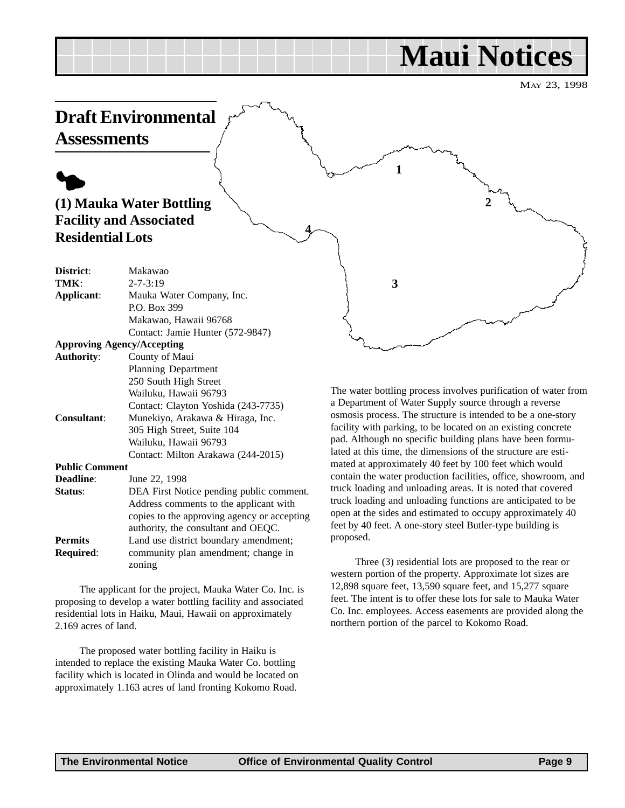# **Maui Notices**

**2**

**1**

**3**

**4**

MAY 23, 1998

# <span id="page-8-0"></span>**Draft Environmental**

**Assessments**

# $\blacklozenge$ **(1) Mauka Water Bottling Facility and Associated Residential Lots**

| Makawao                                     |
|---------------------------------------------|
| $2 - 7 - 3:19$                              |
| Mauka Water Company, Inc.                   |
| P.O. Box 399                                |
| Makawao, Hawaii 96768                       |
| Contact: Jamie Hunter (572-9847)            |
| <b>Approving Agency/Accepting</b>           |
| County of Maui                              |
| <b>Planning Department</b>                  |
| 250 South High Street                       |
| Wailuku, Hawaii 96793                       |
| Contact: Clayton Yoshida (243-7735)         |
| Munekiyo, Arakawa & Hiraga, Inc.            |
| 305 High Street, Suite 104                  |
| Wailuku, Hawaii 96793                       |
| Contact: Milton Arakawa (244-2015)          |
| <b>Public Comment</b>                       |
| June 22, 1998                               |
| DEA First Notice pending public comment.    |
| Address comments to the applicant with      |
| copies to the approving agency or accepting |
| authority, the consultant and OEQC.         |
|                                             |

**Permits** Land use district boundary amendment; **Required**: community plan amendment; change in zoning

The applicant for the project, Mauka Water Co. Inc. is proposing to develop a water bottling facility and associated residential lots in Haiku, Maui, Hawaii on approximately 2.169 acres of land.

The proposed water bottling facility in Haiku is intended to replace the existing Mauka Water Co. bottling facility which is located in Olinda and would be located on approximately 1.163 acres of land fronting Kokomo Road.

The water bottling process involves purification of water from a Department of Water Supply source through a reverse osmosis process. The structure is intended to be a one-story facility with parking, to be located on an existing concrete pad. Although no specific building plans have been formulated at this time, the dimensions of the structure are estimated at approximately 40 feet by 100 feet which would contain the water production facilities, office, showroom, and truck loading and unloading areas. It is noted that covered truck loading and unloading functions are anticipated to be open at the sides and estimated to occupy approximately 40 feet by 40 feet. A one-story steel Butler-type building is proposed.

Three (3) residential lots are proposed to the rear or western portion of the property. Approximate lot sizes are 12,898 square feet, 13,590 square feet, and 15,277 square feet. The intent is to offer these lots for sale to Mauka Water Co. Inc. employees. Access easements are provided along the northern portion of the parcel to Kokomo Road.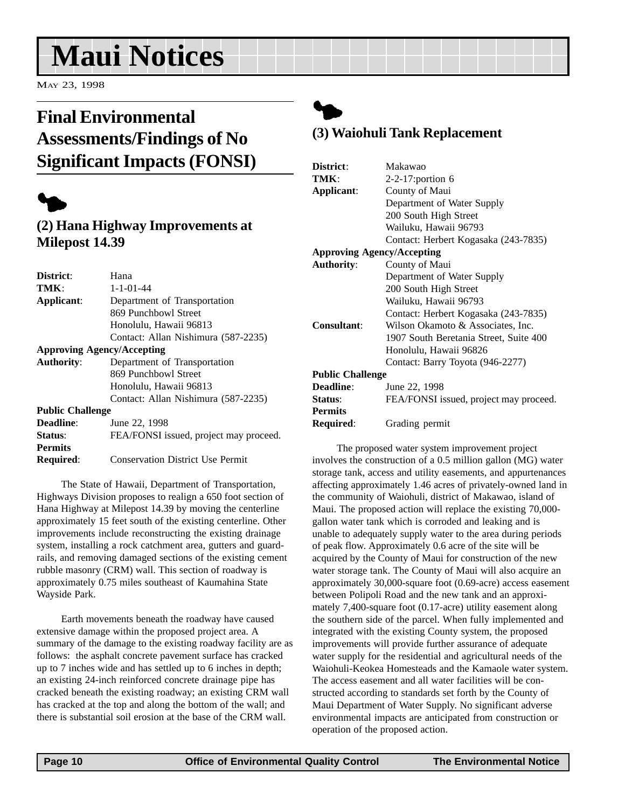# <span id="page-9-0"></span>**Maui Notices**

MAY 23, 1998

# **Final Environmental Assessments/Findings of No Significant Impacts (FONSI)**



## **(2) Hana Highway Improvements at Milepost 14.39**

| District:               | Hana                                    |
|-------------------------|-----------------------------------------|
| TMK:                    | $1 - 1 - 01 - 44$                       |
| Applicant:              | Department of Transportation            |
|                         | 869 Punchbowl Street                    |
|                         | Honolulu, Hawaii 96813                  |
|                         | Contact: Allan Nishimura (587-2235)     |
|                         | <b>Approving Agency/Accepting</b>       |
| <b>Authority:</b>       | Department of Transportation            |
|                         | 869 Punchbowl Street                    |
|                         | Honolulu, Hawaii 96813                  |
|                         | Contact: Allan Nishimura (587-2235)     |
| <b>Public Challenge</b> |                                         |
| Deadline:               | June 22, 1998                           |
| <b>Status:</b>          | FEA/FONSI issued, project may proceed.  |
| <b>Permits</b>          |                                         |
| <b>Required:</b>        | <b>Conservation District Use Permit</b> |

The State of Hawaii, Department of Transportation, Highways Division proposes to realign a 650 foot section of Hana Highway at Milepost 14.39 by moving the centerline approximately 15 feet south of the existing centerline. Other improvements include reconstructing the existing drainage system, installing a rock catchment area, gutters and guardrails, and removing damaged sections of the existing cement rubble masonry (CRM) wall. This section of roadway is approximately 0.75 miles southeast of Kaumahina State Wayside Park.

Earth movements beneath the roadway have caused extensive damage within the proposed project area. A summary of the damage to the existing roadway facility are as follows: the asphalt concrete pavement surface has cracked up to 7 inches wide and has settled up to 6 inches in depth; an existing 24-inch reinforced concrete drainage pipe has cracked beneath the existing roadway; an existing CRM wall has cracked at the top and along the bottom of the wall; and there is substantial soil erosion at the base of the CRM wall.

# $\blacklozenge$

## **(3) Waiohuli Tank Replacement**

| Makawao                                |  |
|----------------------------------------|--|
| 2-2-17:portion 6                       |  |
| County of Maui                         |  |
| Department of Water Supply             |  |
| 200 South High Street                  |  |
| Wailuku, Hawaii 96793                  |  |
| Contact: Herbert Kogasaka (243-7835)   |  |
| <b>Approving Agency/Accepting</b>      |  |
| County of Maui                         |  |
| Department of Water Supply             |  |
| 200 South High Street                  |  |
| Wailuku, Hawaii 96793                  |  |
| Contact: Herbert Kogasaka (243-7835)   |  |
| Wilson Okamoto & Associates, Inc.      |  |
| 1907 South Beretania Street, Suite 400 |  |
| Honolulu, Hawaii 96826                 |  |
| Contact: Barry Toyota (946-2277)       |  |
| <b>Public Challenge</b>                |  |
| June 22, 1998                          |  |
| FEA/FONSI issued, project may proceed. |  |
|                                        |  |
| Grading permit                         |  |
|                                        |  |

The proposed water system improvement project involves the construction of a 0.5 million gallon (MG) water storage tank, access and utility easements, and appurtenances affecting approximately 1.46 acres of privately-owned land in the community of Waiohuli, district of Makawao, island of Maui. The proposed action will replace the existing 70,000 gallon water tank which is corroded and leaking and is unable to adequately supply water to the area during periods of peak flow. Approximately 0.6 acre of the site will be acquired by the County of Maui for construction of the new water storage tank. The County of Maui will also acquire an approximately 30,000-square foot (0.69-acre) access easement between Polipoli Road and the new tank and an approximately 7,400-square foot (0.17-acre) utility easement along the southern side of the parcel. When fully implemented and integrated with the existing County system, the proposed improvements will provide further assurance of adequate water supply for the residential and agricultural needs of the Waiohuli-Keokea Homesteads and the Kamaole water system. The access easement and all water facilities will be constructed according to standards set forth by the County of Maui Department of Water Supply. No significant adverse environmental impacts are anticipated from construction or operation of the proposed action.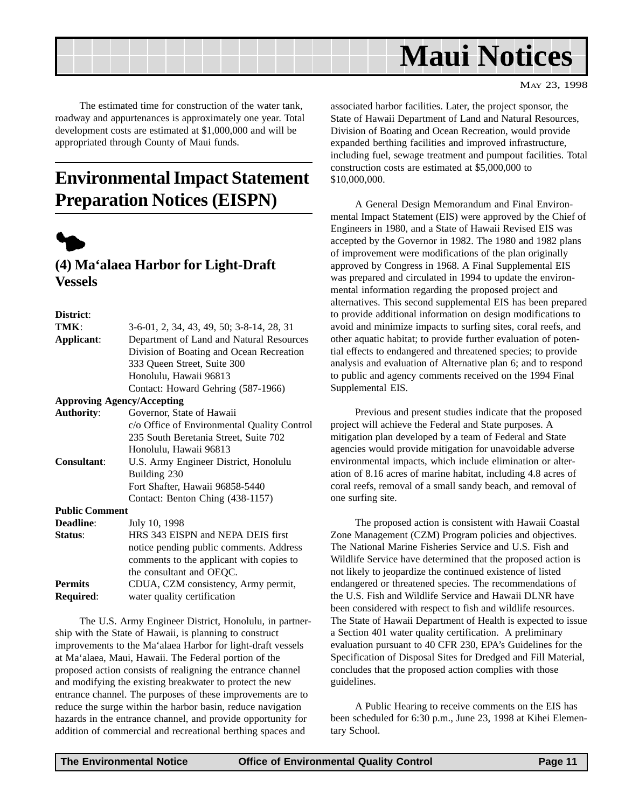<span id="page-10-0"></span>

MAY 23, 1998

The estimated time for construction of the water tank, roadway and appurtenances is approximately one year. Total development costs are estimated at \$1,000,000 and will be appropriated through County of Maui funds.

# **Environmental Impact Statement Preparation Notices (EISPN)**



### **(4) Ma'alaea Harbor for Light-Draft Vessels**

**District**:

| TMK:                  | 3-6-01, 2, 34, 43, 49, 50; 3-8-14, 28, 31   |  |
|-----------------------|---------------------------------------------|--|
| Applicant:            | Department of Land and Natural Resources    |  |
|                       | Division of Boating and Ocean Recreation    |  |
|                       | 333 Queen Street, Suite 300                 |  |
|                       | Honolulu, Hawaii 96813                      |  |
|                       | Contact: Howard Gehring (587-1966)          |  |
|                       | <b>Approving Agency/Accepting</b>           |  |
| <b>Authority:</b>     | Governor, State of Hawaii                   |  |
|                       | c/o Office of Environmental Quality Control |  |
|                       | 235 South Beretania Street, Suite 702       |  |
|                       | Honolulu, Hawaii 96813                      |  |
| <b>Consultant:</b>    | U.S. Army Engineer District, Honolulu       |  |
|                       | Building 230                                |  |
|                       | Fort Shafter, Hawaii 96858-5440             |  |
|                       | Contact: Benton Ching (438-1157)            |  |
| <b>Public Comment</b> |                                             |  |
| Deadline:             | July 10, 1998                               |  |
| Status:               | HRS 343 EISPN and NEPA DEIS first           |  |
|                       | notice pending public comments. Address     |  |
|                       | comments to the applicant with copies to    |  |
|                       | the consultant and OEQC.                    |  |
| <b>Permits</b>        | CDUA, CZM consistency, Army permit,         |  |
| <b>Required:</b>      | water quality certification                 |  |

The U.S. Army Engineer District, Honolulu, in partnership with the State of Hawaii, is planning to construct improvements to the Ma'alaea Harbor for light-draft vessels at Ma'alaea, Maui, Hawaii. The Federal portion of the proposed action consists of realigning the entrance channel and modifying the existing breakwater to protect the new entrance channel. The purposes of these improvements are to reduce the surge within the harbor basin, reduce navigation hazards in the entrance channel, and provide opportunity for addition of commercial and recreational berthing spaces and

associated harbor facilities. Later, the project sponsor, the State of Hawaii Department of Land and Natural Resources, Division of Boating and Ocean Recreation, would provide expanded berthing facilities and improved infrastructure, including fuel, sewage treatment and pumpout facilities. Total construction costs are estimated at \$5,000,000 to \$10,000,000.

A General Design Memorandum and Final Environmental Impact Statement (EIS) were approved by the Chief of Engineers in 1980, and a State of Hawaii Revised EIS was accepted by the Governor in 1982. The 1980 and 1982 plans of improvement were modifications of the plan originally approved by Congress in 1968. A Final Supplemental EIS was prepared and circulated in 1994 to update the environmental information regarding the proposed project and alternatives. This second supplemental EIS has been prepared to provide additional information on design modifications to avoid and minimize impacts to surfing sites, coral reefs, and other aquatic habitat; to provide further evaluation of potential effects to endangered and threatened species; to provide analysis and evaluation of Alternative plan 6; and to respond to public and agency comments received on the 1994 Final Supplemental EIS.

Previous and present studies indicate that the proposed project will achieve the Federal and State purposes. A mitigation plan developed by a team of Federal and State agencies would provide mitigation for unavoidable adverse environmental impacts, which include elimination or alteration of 8.16 acres of marine habitat, including 4.8 acres of coral reefs, removal of a small sandy beach, and removal of one surfing site.

The proposed action is consistent with Hawaii Coastal Zone Management (CZM) Program policies and objectives. The National Marine Fisheries Service and U.S. Fish and Wildlife Service have determined that the proposed action is not likely to jeopardize the continued existence of listed endangered or threatened species. The recommendations of the U.S. Fish and Wildlife Service and Hawaii DLNR have been considered with respect to fish and wildlife resources. The State of Hawaii Department of Health is expected to issue a Section 401 water quality certification. A preliminary evaluation pursuant to 40 CFR 230, EPA's Guidelines for the Specification of Disposal Sites for Dredged and Fill Material, concludes that the proposed action complies with those guidelines.

A Public Hearing to receive comments on the EIS has been scheduled for 6:30 p.m., June 23, 1998 at Kihei Elementary School.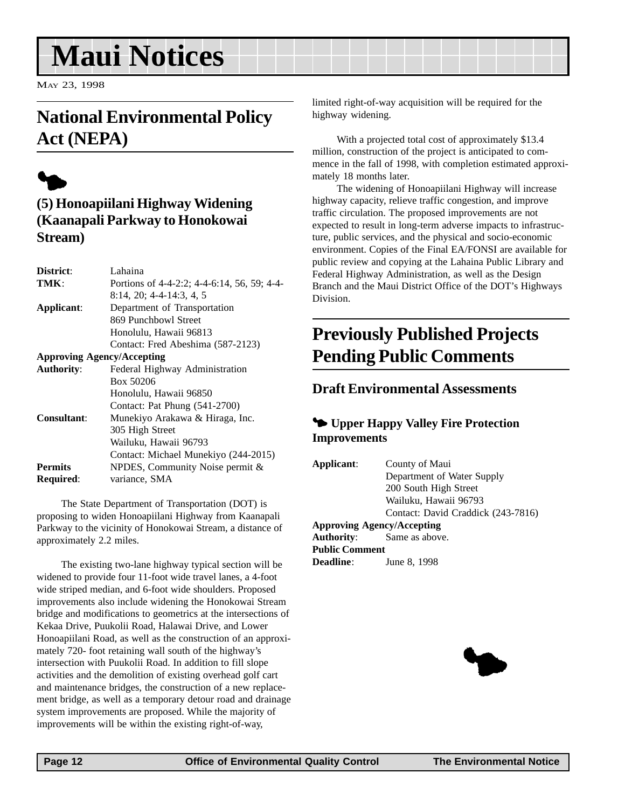# <span id="page-11-0"></span>**Maui Notices**

MAY 23, 1998

# **National Environmental Policy Act (NEPA)**

# $\blacklozenge$

# **(5) Honoapiilani Highway Widening (Kaanapali Parkway to Honokowai Stream)**

| District:         | Lahaina                                     |
|-------------------|---------------------------------------------|
| TMK:              | Portions of 4-4-2:2; 4-4-6:14, 56, 59; 4-4- |
|                   | $8:14$ , 20; 4-4-14:3, 4, 5                 |
| Applicant:        | Department of Transportation                |
|                   | 869 Punchbowl Street                        |
|                   | Honolulu, Hawaii 96813                      |
|                   | Contact: Fred Abeshima (587-2123)           |
|                   | <b>Approving Agency/Accepting</b>           |
| <b>Authority:</b> | Federal Highway Administration              |
|                   | Box 50206                                   |
|                   | Honolulu, Hawaii 96850                      |
|                   | Contact: Pat Phung (541-2700)               |
| Consultant:       | Munekiyo Arakawa & Hiraga, Inc.             |
|                   | 305 High Street                             |
|                   | Wailuku, Hawaii 96793                       |
|                   | Contact: Michael Munekiyo (244-2015)        |
| <b>Permits</b>    | NPDES, Community Noise permit $\&$          |
| <b>Required:</b>  | variance, SMA                               |
|                   |                                             |

The State Department of Transportation (DOT) is proposing to widen Honoapiilani Highway from Kaanapali Parkway to the vicinity of Honokowai Stream, a distance of approximately 2.2 miles.

The existing two-lane highway typical section will be widened to provide four 11-foot wide travel lanes, a 4-foot wide striped median, and 6-foot wide shoulders. Proposed improvements also include widening the Honokowai Stream bridge and modifications to geometrics at the intersections of Kekaa Drive, Puukolii Road, Halawai Drive, and Lower Honoapiilani Road, as well as the construction of an approximately 720- foot retaining wall south of the highway's intersection with Puukolii Road. In addition to fill slope activities and the demolition of existing overhead golf cart and maintenance bridges, the construction of a new replacement bridge, as well as a temporary detour road and drainage system improvements are proposed. While the majority of improvements will be within the existing right-of-way,

limited right-of-way acquisition will be required for the highway widening.

With a projected total cost of approximately \$13.4 million, construction of the project is anticipated to commence in the fall of 1998, with completion estimated approximately 18 months later.

The widening of Honoapiilani Highway will increase highway capacity, relieve traffic congestion, and improve traffic circulation. The proposed improvements are not expected to result in long-term adverse impacts to infrastructure, public services, and the physical and socio-economic environment. Copies of the Final EA/FONSI are available for public review and copying at the Lahaina Public Library and Federal Highway Administration, as well as the Design Branch and the Maui District Office of the DOT's Highways Division.

# **Previously Published Projects Pending Public Comments**

### **Draft Environmental Assessments**

### 3 **Upper Happy Valley Fire Protection Improvements**

| Applicant:            | County of Maui                     |
|-----------------------|------------------------------------|
|                       | Department of Water Supply         |
|                       | 200 South High Street              |
|                       | Wailuku, Hawaii 96793              |
|                       | Contact: David Craddick (243-7816) |
|                       | <b>Approving Agency/Accepting</b>  |
|                       | <b>Authority:</b> Same as above.   |
| <b>Public Comment</b> |                                    |
| <b>Deadline:</b>      | June 8, 1998                       |
|                       |                                    |

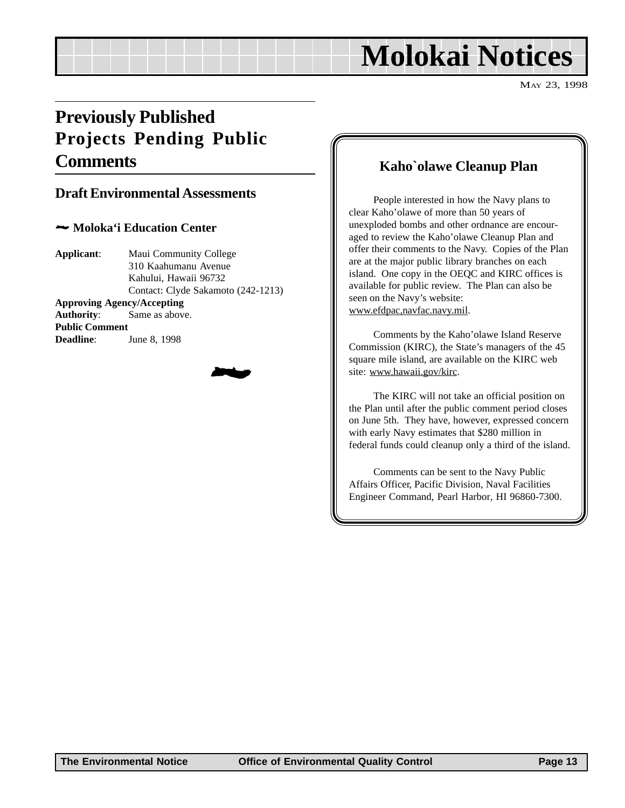# **Molokai Notices**

MAY 23, 1998

# <span id="page-12-0"></span>**Previously Published Projects Pending Public Comments**

### **Draft Environmental Assessments**

#### 2 **Moloka'i Education Center**

**Applicant**: Maui Community College 310 Kaahumanu Avenue Kahului, Hawaii 96732 Contact: Clyde Sakamoto (242-1213) **Approving Agency/Accepting Authority**: Same as above. **Public Comment Deadline**: June 8, 1998



### **Kaho`olawe Cleanup Plan**

People interested in how the Navy plans to clear Kaho'olawe of more than 50 years of unexploded bombs and other ordnance are encouraged to review the Kaho'olawe Cleanup Plan and offer their comments to the Navy. Copies of the Plan are at the major public library branches on each island. One copy in the OEQC and KIRC offices is available for public review. The Plan can also be seen on the Navy's website: www.efdpac,navfac.navy.mil.

Comments by the Kaho'olawe Island Reserve Commission (KIRC), the State's managers of the 45 square mile island, are available on the KIRC web site: www.hawaii.gov/kirc.

The KIRC will not take an official position on the Plan until after the public comment period closes on June 5th. They have, however, expressed concern with early Navy estimates that \$280 million in federal funds could cleanup only a third of the island.

Comments can be sent to the Navy Public Affairs Officer, Pacific Division, Naval Facilities Engineer Command, Pearl Harbor, HI 96860-7300.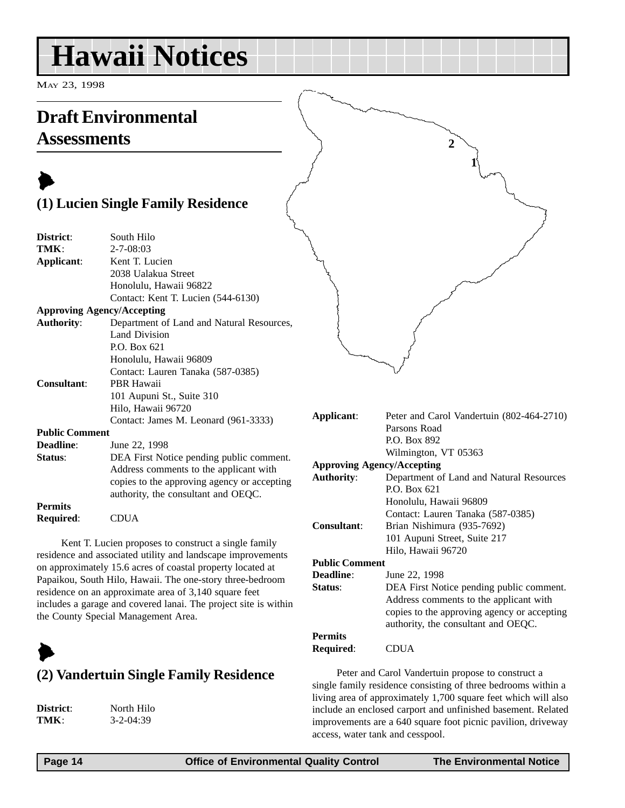# <span id="page-13-0"></span>**Hawaii Notices**

MAY 23, 1998

# **Draft Environmental Assessments**

# $\blacktriangleright$ **(1) Lucien Single Family Residence**

| District:             | South Hilo                                  |
|-----------------------|---------------------------------------------|
| TMK:                  | $2 - 7 - 08:03$                             |
| Applicant:            | Kent T. Lucien                              |
|                       | 2038 Ualakua Street                         |
|                       | Honolulu, Hawaii 96822                      |
|                       | Contact: Kent T. Lucien (544-6130)          |
|                       | <b>Approving Agency/Accepting</b>           |
| <b>Authority:</b>     | Department of Land and Natural Resources,   |
|                       | Land Division                               |
|                       | P.O. Box 621                                |
|                       | Honolulu, Hawaii 96809                      |
|                       | Contact: Lauren Tanaka (587-0385)           |
| Consultant:           | PBR Hawaii                                  |
|                       | 101 Aupuni St., Suite 310                   |
|                       | Hilo, Hawaii 96720                          |
|                       | Contact: James M. Leonard (961-3333)        |
| <b>Public Comment</b> |                                             |
| <b>Deadline:</b>      | June 22, 1998                               |
| Status:               | DEA First Notice pending public comment.    |
|                       | Address comments to the applicant with      |
|                       | copies to the approving agency or accepting |
|                       | authority, the consultant and OEQC.         |
| <b>Permits</b>        |                                             |
| Required:             | <b>CDUA</b>                                 |

Kent T. Lucien proposes to construct a single family residence and associated utility and landscape improvements on approximately 15.6 acres of coastal property located at Papaikou, South Hilo, Hawaii. The one-story three-bedroom residence on an approximate area of 3,140 square feet includes a garage and covered lanai. The project site is within the County Special Management Area.

# $\blacktriangleright$

# **(2) Vandertuin Single Family Residence**

**District**: North Hilo **TMK**: 3-2-04:39

|  | 1 |  |
|--|---|--|
|  |   |  |
|  |   |  |
|  |   |  |
|  |   |  |
|  |   |  |
|  |   |  |
|  |   |  |
|  |   |  |

**2**

| Applicant:                        | Peter and Carol Vandertuin (802-464-2710)   |
|-----------------------------------|---------------------------------------------|
|                                   | Parsons Road                                |
|                                   | P.O. Box 892                                |
|                                   | Wilmington, VT 05363                        |
| <b>Approving Agency/Accepting</b> |                                             |
| <b>Authority:</b>                 | Department of Land and Natural Resources    |
|                                   | P.O. Box 621                                |
|                                   | Honolulu, Hawaii 96809                      |
|                                   | Contact: Lauren Tanaka (587-0385)           |
| Consultant:                       | Brian Nishimura (935-7692)                  |
|                                   | 101 Aupuni Street, Suite 217                |
|                                   | Hilo, Hawaii 96720                          |
| <b>Public Comment</b>             |                                             |
| Deadline:                         | June 22, 1998                               |
| <b>Status:</b>                    | DEA First Notice pending public comment.    |
|                                   | Address comments to the applicant with      |
|                                   | copies to the approving agency or accepting |
|                                   | authority, the consultant and OEQC.         |
| <b>Permits</b>                    |                                             |
| Required:                         | CDUA                                        |

Peter and Carol Vandertuin propose to construct a single family residence consisting of three bedrooms within a living area of approximately 1,700 square feet which will also include an enclosed carport and unfinished basement. Related improvements are a 640 square foot picnic pavilion, driveway access, water tank and cesspool.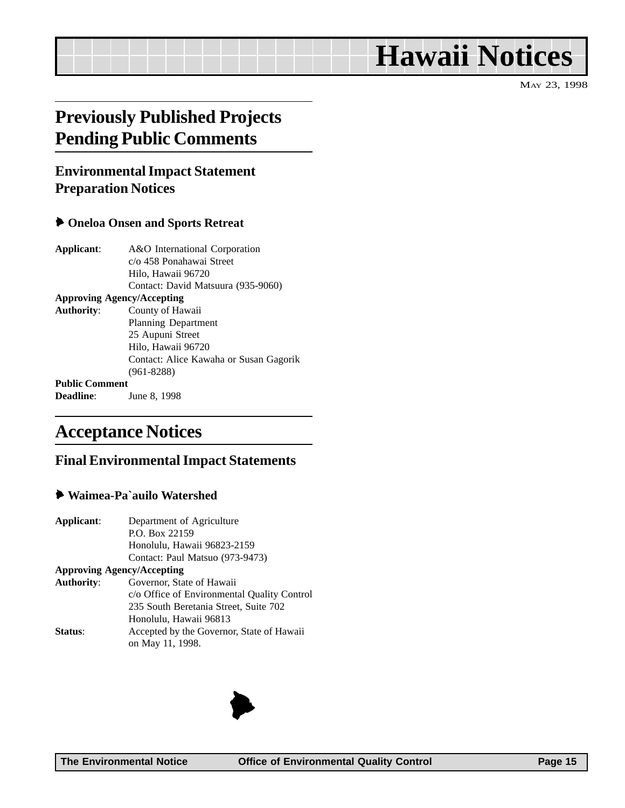# <span id="page-14-0"></span>**Hawaii Notices**

MAY 23, 1998

# **Previously Published Projects Pending Public Comments**

# **Environmental Impact Statement Preparation Notices**

#### 6 **Oneloa Onsen and Sports Retreat**

| Applicant:            | A&O International Corporation          |
|-----------------------|----------------------------------------|
|                       | c/o 458 Ponahawai Street               |
|                       | Hilo, Hawaii 96720                     |
|                       | Contact: David Matsuura (935-9060)     |
|                       | <b>Approving Agency/Accepting</b>      |
| <b>Authority:</b>     | County of Hawaii                       |
|                       | Planning Department                    |
|                       | 25 Aupuni Street                       |
|                       | Hilo, Hawaii 96720                     |
|                       | Contact: Alice Kawaha or Susan Gagorik |
|                       | $(961 - 8288)$                         |
| <b>Public Comment</b> |                                        |
| <b>Deadline:</b>      | June 8, 1998                           |
|                       |                                        |

# **Acceptance Notices**

### **Final Environmental Impact Statements**

#### 6 **Waimea-Pa`auilo Watershed**

| Applicant:        | Department of Agriculture                   |  |  |
|-------------------|---------------------------------------------|--|--|
|                   | P.O. Box 22159                              |  |  |
|                   | Honolulu, Hawaii 96823-2159                 |  |  |
|                   | Contact: Paul Matsuo (973-9473)             |  |  |
|                   | <b>Approving Agency/Accepting</b>           |  |  |
| <b>Authority:</b> | Governor, State of Hawaii                   |  |  |
|                   | c/o Office of Environmental Quality Control |  |  |
|                   | 235 South Beretania Street, Suite 702       |  |  |
|                   | Honolulu, Hawaii 96813                      |  |  |
| Status:           | Accepted by the Governor, State of Hawaii   |  |  |
|                   | on May 11, 1998.                            |  |  |

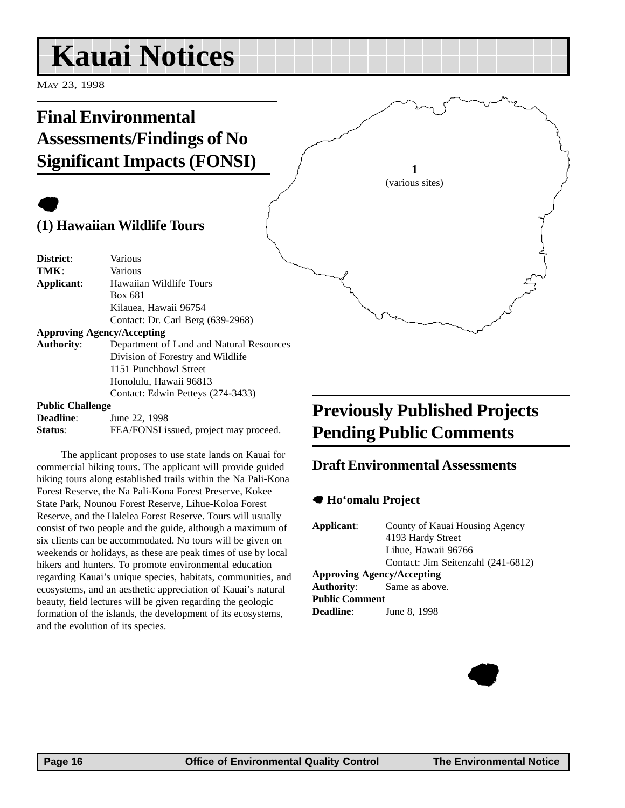# <span id="page-15-0"></span>**Kauai Notices**

MAY 23, 1998

# **Final Environmental Assessments/Findings of No Significant Impacts (FONSI)**

# $\bullet$

**(1) Hawaiian Wildlife Tours**

| District:                         | Various                                  |
|-----------------------------------|------------------------------------------|
| TMK:                              | Various                                  |
| Applicant:                        | Hawaiian Wildlife Tours                  |
|                                   | Box 681                                  |
|                                   | Kilauea, Hawaii 96754                    |
|                                   | Contact: Dr. Carl Berg (639-2968)        |
| <b>Approving Agency/Accepting</b> |                                          |
| <b>Authority:</b>                 | Department of Land and Natural Resources |
|                                   | Division of Forestry and Wildlife        |
|                                   | 1151 Punchbowl Street                    |
|                                   | Honolulu, Hawaii 96813                   |
|                                   | Contact: Edwin Petteys (274-3433)        |
| <b>Public Challenge</b>           |                                          |

| <b>Deadline:</b> | June 22, 1998                          |
|------------------|----------------------------------------|
| Status:          | FEA/FONSI issued, project may proceed. |

The applicant proposes to use state lands on Kauai for commercial hiking tours. The applicant will provide guided hiking tours along established trails within the Na Pali-Kona Forest Reserve, the Na Pali-Kona Forest Preserve, Kokee State Park, Nounou Forest Reserve, Lihue-Koloa Forest Reserve, and the Halelea Forest Reserve. Tours will usually consist of two people and the guide, although a maximum of six clients can be accommodated. No tours will be given on weekends or holidays, as these are peak times of use by local hikers and hunters. To promote environmental education regarding Kauai's unique species, habitats, communities, and ecosystems, and an aesthetic appreciation of Kauai's natural beauty, field lectures will be given regarding the geologic formation of the islands, the development of its ecosystems, and the evolution of its species.

# **Previously Published Projects Pending Public Comments**

## **Draft Environmental Assessments**

**1** (various sites)

#### 7 **Ho'omalu Project**

| County of Kauai Housing Agency<br>4193 Hardy Street<br>Lihue, Hawaii 96766 |
|----------------------------------------------------------------------------|
| Contact: Jim Seitenzahl (241-6812)<br><b>Approving Agency/Accepting</b>    |
| <b>Authority:</b> Same as above.                                           |
| <b>Public Comment</b>                                                      |
| June 8, 1998                                                               |
|                                                                            |

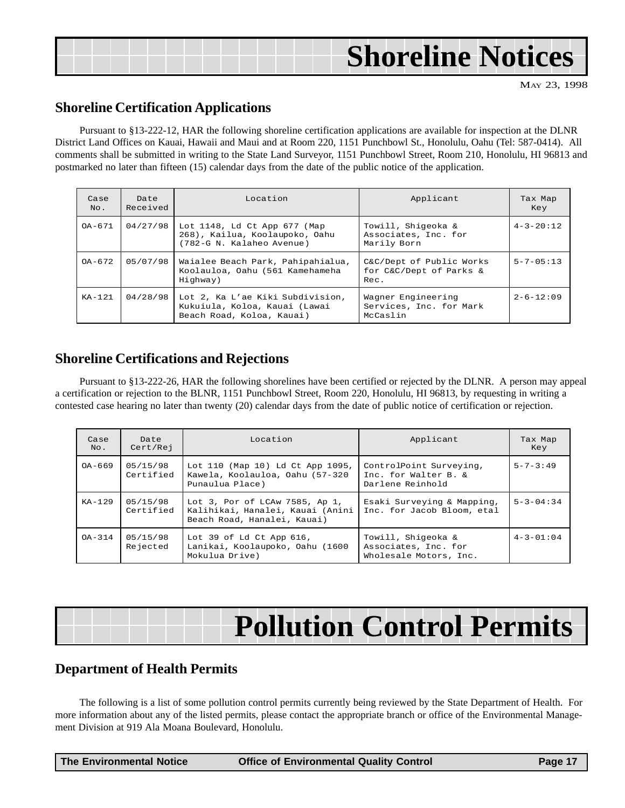<span id="page-16-0"></span>

| <b>Shoreline Notices</b> |
|--------------------------|
|--------------------------|

MAY 23, 1998

### **Shoreline Certification Applications**

Pursuant to §13-222-12, HAR the following shoreline certification applications are available for inspection at the DLNR District Land Offices on Kauai, Hawaii and Maui and at Room 220, 1151 Punchbowl St., Honolulu, Oahu (Tel: 587-0414). All comments shall be submitted in writing to the State Land Surveyor, 1151 Punchbowl Street, Room 210, Honolulu, HI 96813 and postmarked no later than fifteen (15) calendar days from the date of the public notice of the application.

| Case<br>No. | Date<br>Received | Location                                                                                       | Applicant                                                   | Tax Map<br>Key    |
|-------------|------------------|------------------------------------------------------------------------------------------------|-------------------------------------------------------------|-------------------|
| $OA - 671$  | 04/27/98         | Lot 1148, Ld Ct App 677 (Map<br>268), Kailua, Koolaupoko, Oahu<br>(782-G N. Kalaheo Avenue)    | Towill, Shigeoka &<br>Associates, Inc. for<br>Marily Born   | $4 - 3 - 20:12$   |
| $OA - 672$  | 05/07/98         | Waialee Beach Park, Pahipahialua,<br>Koolauloa, Oahu (561 Kamehameha<br>Highway)               | C&C/Dept of Public Works<br>for C&C/Dept of Parks &<br>Rec. | $5 - 7 - 05 : 13$ |
| $KA-121$    | 04/28/98         | Lot 2, Ka L'ae Kiki Subdivision,<br>Kukuiula, Koloa, Kauai (Lawai<br>Beach Road, Koloa, Kauai) | Wagner Engineering<br>Services, Inc. for Mark<br>McCaslin   | $2 - 6 - 12:09$   |

## **Shoreline Certifications and Rejections**

Pursuant to §13-222-26, HAR the following shorelines have been certified or rejected by the DLNR. A person may appeal a certification or rejection to the BLNR, 1151 Punchbowl Street, Room 220, Honolulu, HI 96813, by requesting in writing a contested case hearing no later than twenty (20) calendar days from the date of public notice of certification or rejection.

| Case<br>No. | Date<br>Cert/Rej      | Location<br>Applicant                                                                             |                                                                      | Tax Map<br>Key    |
|-------------|-----------------------|---------------------------------------------------------------------------------------------------|----------------------------------------------------------------------|-------------------|
| $OA-669$    | 05/15/98<br>Certified | Lot 110 (Map 10) Ld Ct App 1095,<br>Kawela, Koolauloa, Oahu (57-320<br>Punaulua Place)            | ControlPoint Surveying,<br>Inc. for Walter B. &<br>Darlene Reinhold  | $5 - 7 - 3:49$    |
| $KA-129$    | 05/15/98<br>Certified | Lot 3, Por of LCAw 7585, Ap 1,<br>Kalihikai, Hanalei, Kauai (Anini<br>Beach Road, Hanalei, Kauai) | Esaki Surveying & Mapping,<br>Inc. for Jacob Bloom, etal             | $5 - 3 - 04 : 34$ |
| $OA - 314$  | 05/15/98<br>Rejected  | Lot 39 of Ld Ct App $616$ ,<br>Lanikai, Koolaupoko, Oahu (1600<br>Mokulua Drive)                  | Towill, Shigeoka &<br>Associates, Inc. for<br>Wholesale Motors, Inc. | $4 - 3 - 01 : 04$ |

# **Pollution Control Permits**

## **Department of Health Permits**

The following is a list of some pollution control permits currently being reviewed by the State Department of Health. For more information about any of the listed permits, please contact the appropriate branch or office of the Environmental Management Division at 919 Ala Moana Boulevard, Honolulu.

| <b>The Environmental Notice</b> | <b>Office of Environmental Quality Control</b> | Page 17 |
|---------------------------------|------------------------------------------------|---------|
|---------------------------------|------------------------------------------------|---------|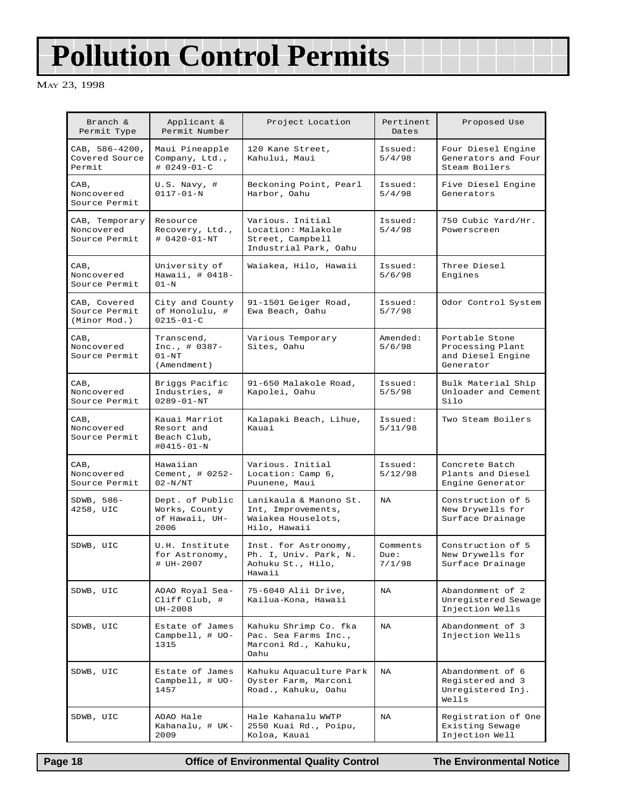# **Pollution Control Permits**

MAY 23, 1998

| Branch &<br>Permit Type                       | Applicant &<br>Permit Number                               | Project Location                                                                    | Pertinent<br>Dates         | Proposed Use                                                         |
|-----------------------------------------------|------------------------------------------------------------|-------------------------------------------------------------------------------------|----------------------------|----------------------------------------------------------------------|
| CAB, 586-4200,<br>Covered Source<br>Permit    | Maui Pineapple<br>Company, Ltd.,<br># 0249-01-C            | 120 Kane Street,<br>Kahului, Maui                                                   | Issued:<br>5/4/98          | Four Diesel Engine<br>Generators and Four<br>Steam Boilers           |
| CAB,<br>Noncovered<br>Source Permit           | $U.S.$ Navy, #<br>$0117 - 01 - N$                          | Beckoning Point, Pearl<br>Harbor, Oahu                                              | Issued:<br>5/4/98          | Five Diesel Engine<br>Generators                                     |
| CAB, Temporary<br>Noncovered<br>Source Permit | Resource<br>Recovery, Ltd.,<br>$# 0420 - 01 - NT$          | Various. Initial<br>Location: Malakole<br>Street, Campbell<br>Industrial Park, Oahu | Issued:<br>5/4/98          | 750 Cubic Yard/Hr.<br>Powerscreen                                    |
| CAB,<br>Noncovered<br>Source Permit           | University of<br>Hawaii, # 0418-<br>$01-N$                 | Waiakea, Hilo, Hawaii                                                               | Issued:<br>5/6/98          | Three Diesel<br>Engines                                              |
| CAB, Covered<br>Source Permit<br>(Minor Mod.) | City and County<br>of Honolulu, #<br>$0215 - 01 - C$       | 91-1501 Geiger Road,<br>Ewa Beach, Oahu                                             | Issued:<br>5/7/98          | Odor Control System                                                  |
| CAB,<br>Noncovered<br>Source Permit           | Transcend,<br>Inc., $\#$ 0387-<br>$01 - NT$<br>(Amendment) | Various Temporary<br>Sites, Oahu                                                    | Amended:<br>5/6/98         | Portable Stone<br>Processing Plant<br>and Diesel Engine<br>Generator |
| CAB,<br>Noncovered<br>Source Permit           | Briggs Pacific<br>Industries, #<br>$0289 - 01 - NT$        | 91-650 Malakole Road,<br>Kapolei, Oahu                                              | Issued:<br>5/5/98          | Bulk Material Ship<br>Unloader and Cement<br>Silo                    |
| CAB,<br>Noncovered<br>Source Permit           | Kauai Marriot<br>Resort and<br>Beach Club,<br>#0415-01-N   | Kalapaki Beach, Lihue,<br>Kauai                                                     | Issued:<br>5/11/98         | Two Steam Boilers                                                    |
| CAB,<br>Noncovered<br>Source Permit           | Hawaiian<br>Cement, # 0252-<br>$02-N/NT$                   | Various. Initial<br>Location: Camp $6,$<br>Puunene, Maui                            | Issued:<br>5/12/98         | Concrete Batch<br>Plants and Diesel<br>Engine Generator              |
| SDWB, 586-<br>4258, UIC                       | Dept. of Public<br>Works, County<br>of Hawaii, UH-<br>2006 | Lanikaula & Manono St.<br>Int, Improvements,<br>Waiakea Houselots,<br>Hilo, Hawaii  | <b>NA</b>                  | Construction of 5<br>New Drywells for<br>Surface Drainage            |
| SDWB, UIC                                     | U.H. Institute<br>for Astronomy,<br># UH-2007              | Inst. for Astronomy,<br>Ph. I, Univ. Park, N.<br>Aohuku St., Hilo,<br>Hawaii        | Comments<br>Due:<br>7/1/98 | Construction of 5<br>New Drywells for<br>Surface Drainage            |
| SDWB, UIC                                     | AOAO Royal Sea-<br>Cliff Club, #<br>$UH-2008$              | 75-6040 Alii Drive,<br>Kailua-Kona, Hawaii                                          | NA                         | Abandonment of 2<br>Unregistered Sewage<br>Injection Wells           |
| SDWB, UIC                                     | Estate of James<br>Campbell, $\#$ UO-<br>1315              | Kahuku Shrimp Co. fka<br>Pac. Sea Farms Inc.,<br>Marconi Rd., Kahuku,<br>Oahu       | NA                         | Abandonment of 3<br>Injection Wells                                  |
| SDWB, UIC                                     | Estate of James<br>Campbell, $\#$ UO-<br>1457              | Kahuku Aquaculture Park<br>Oyster Farm, Marconi<br>Road., Kahuku, Oahu              | <b>NA</b>                  | Abandonment of 6<br>Registered and 3<br>Unregistered Inj.<br>Wells   |
| SDWB, UIC                                     | AOAO Hale<br>Kahanalu, # UK-<br>2009                       | Hale Kahanalu WWTP<br>2550 Kuai Rd., Poipu,<br>Koloa, Kauai                         | NA                         | Registration of One<br>Existing Sewage<br>Injection Well             |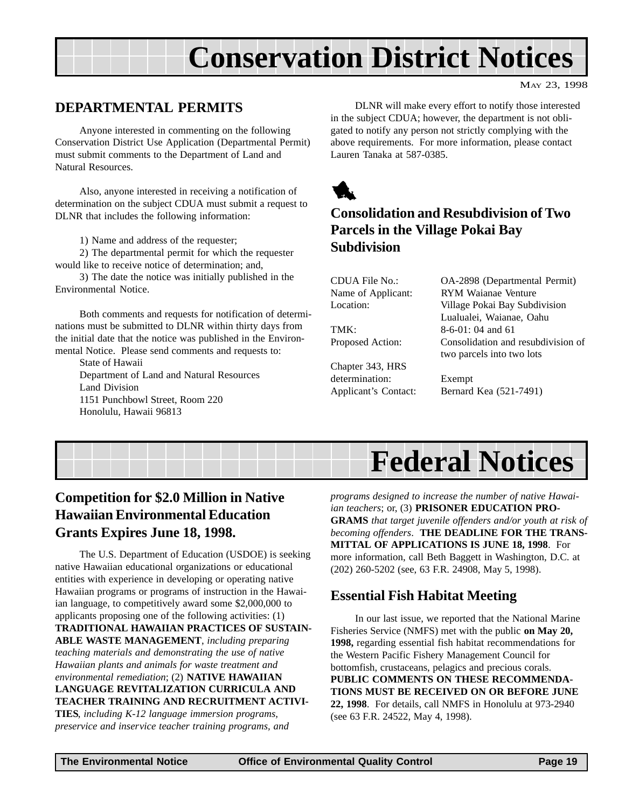# **Conservation District Notices**

MAY 23, 1998

## <span id="page-18-0"></span>**DEPARTMENTAL PERMITS**

Anyone interested in commenting on the following Conservation District Use Application (Departmental Permit) must submit comments to the Department of Land and Natural Resources.

Also, anyone interested in receiving a notification of determination on the subject CDUA must submit a request to DLNR that includes the following information:

1) Name and address of the requester;

2) The departmental permit for which the requester would like to receive notice of determination; and,

3) The date the notice was initially published in the Environmental Notice.

Both comments and requests for notification of determinations must be submitted to DLNR within thirty days from the initial date that the notice was published in the Environmental Notice. Please send comments and requests to:

State of Hawaii Department of Land and Natural Resources Land Division 1151 Punchbowl Street, Room 220 Honolulu, Hawaii 96813

DLNR will make every effort to notify those interested in the subject CDUA; however, the department is not obligated to notify any person not strictly complying with the above requirements. For more information, please contact Lauren Tanaka at 587-0385.



# **Consolidation and Resubdivision of Two Parcels in the Village Pokai Bay Subdivision**

Chapter 343, HRS determination: Exempt

CDUA File No.: OA-2898 (Departmental Permit) Name of Applicant: RYM Waianae Venture Location: Village Pokai Bay Subdivision Lualualei, Waianae, Oahu TMK $\cdot$  8-6-01 $\cdot$  04 and 61 Proposed Action: Consolidation and resubdivision of two parcels into two lots

Applicant's Contact: Bernard Kea (521-7491)



# **Competition for \$2.0 Million in Native Hawaiian Environmental Education Grants Expires June 18, 1998.**

The U.S. Department of Education (USDOE) is seeking native Hawaiian educational organizations or educational entities with experience in developing or operating native Hawaiian programs or programs of instruction in the Hawaiian language, to competitively award some \$2,000,000 to applicants proposing one of the following activities: (1) **TRADITIONAL HAWAIIAN PRACTICES OF SUSTAIN-ABLE WASTE MANAGEMENT**, *including preparing teaching materials and demonstrating the use of native Hawaiian plants and animals for waste treatment and environmental remediation*; (2) **NATIVE HAWAIIAN LANGUAGE REVITALIZATION CURRICULA AND TEACHER TRAINING AND RECRUITMENT ACTIVI-TIES**, *including K-12 language immersion programs, preservice and inservice teacher training programs, and*

*programs designed to increase the number of native Hawaiian teachers*; or, (3) **PRISONER EDUCATION PRO-GRAMS** *that target juvenile offenders and/or youth at risk of becoming offenders*. **THE DEADLINE FOR THE TRANS-MITTAL OF APPLICATIONS IS JUNE 18, 1998**. For more information, call Beth Baggett in Washington, D.C. at (202) 260-5202 (see, 63 F.R. 24908, May 5, 1998).

# **Essential Fish Habitat Meeting**

In our last issue, we reported that the National Marine Fisheries Service (NMFS) met with the public **on May 20, 1998,** regarding essential fish habitat recommendations for the Western Pacific Fishery Management Council for bottomfish, crustaceans, pelagics and precious corals. **PUBLIC COMMENTS ON THESE RECOMMENDA-TIONS MUST BE RECEIVED ON OR BEFORE JUNE 22, 1998**. For details, call NMFS in Honolulu at 973-2940 (see 63 F.R. 24522, May 4, 1998).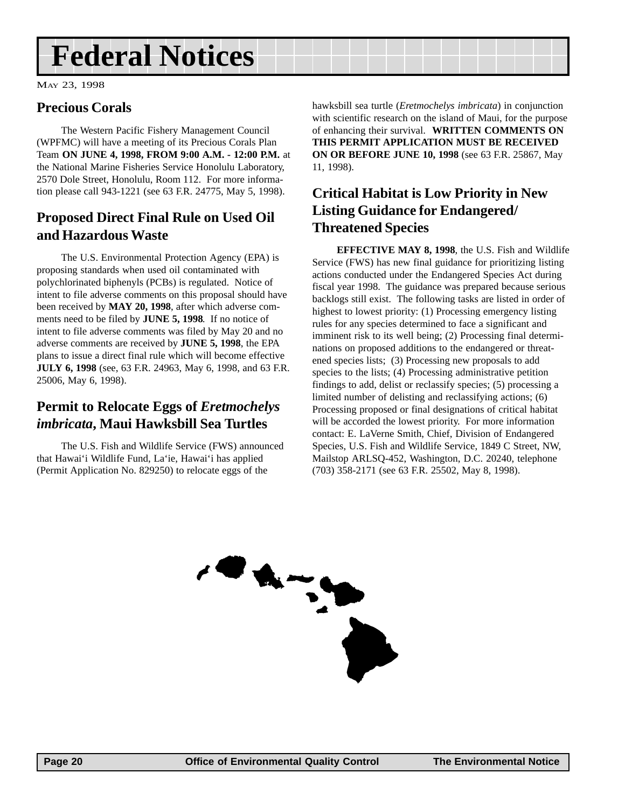# <span id="page-19-0"></span>**Federal Notices**

MAY 23, 1998

## **Precious Corals**

The Western Pacific Fishery Management Council (WPFMC) will have a meeting of its Precious Corals Plan Team **ON JUNE 4, 1998, FROM 9:00 A.M. - 12:00 P.M.** at the National Marine Fisheries Service Honolulu Laboratory, 2570 Dole Street, Honolulu, Room 112. For more information please call 943-1221 (see 63 F.R. 24775, May 5, 1998).

# **Proposed Direct Final Rule on Used Oil and Hazardous Waste**

The U.S. Environmental Protection Agency (EPA) is proposing standards when used oil contaminated with polychlorinated biphenyls (PCBs) is regulated. Notice of intent to file adverse comments on this proposal should have been received by **MAY 20, 1998**, after which adverse comments need to be filed by **JUNE 5, 1998**. If no notice of intent to file adverse comments was filed by May 20 and no adverse comments are received by **JUNE 5, 1998**, the EPA plans to issue a direct final rule which will become effective **JULY 6, 1998** (see, 63 F.R. 24963, May 6, 1998, and 63 F.R. 25006, May 6, 1998).

## **Permit to Relocate Eggs of** *Eretmochelys imbricata***, Maui Hawksbill Sea Turtles**

The U.S. Fish and Wildlife Service (FWS) announced that Hawai'i Wildlife Fund, La'ie, Hawai'i has applied (Permit Application No. 829250) to relocate eggs of the

hawksbill sea turtle (*Eretmochelys imbricata*) in conjunction with scientific research on the island of Maui, for the purpose of enhancing their survival. **WRITTEN COMMENTS ON THIS PERMIT APPLICATION MUST BE RECEIVED ON OR BEFORE JUNE 10, 1998** (see 63 F.R. 25867, May 11, 1998).

# **Critical Habitat is Low Priority in New Listing Guidance for Endangered/ Threatened Species**

**EFFECTIVE MAY 8, 1998**, the U.S. Fish and Wildlife Service (FWS) has new final guidance for prioritizing listing actions conducted under the Endangered Species Act during fiscal year 1998. The guidance was prepared because serious backlogs still exist. The following tasks are listed in order of highest to lowest priority: (1) Processing emergency listing rules for any species determined to face a significant and imminent risk to its well being; (2) Processing final determinations on proposed additions to the endangered or threatened species lists; (3) Processing new proposals to add species to the lists; (4) Processing administrative petition findings to add, delist or reclassify species; (5) processing a limited number of delisting and reclassifying actions; (6) Processing proposed or final designations of critical habitat will be accorded the lowest priority. For more information contact: E. LaVerne Smith, Chief, Division of Endangered Species, U.S. Fish and Wildlife Service, 1849 C Street, NW, Mailstop ARLSQ-452, Washington, D.C. 20240, telephone (703) 358-2171 (see 63 F.R. 25502, May 8, 1998).